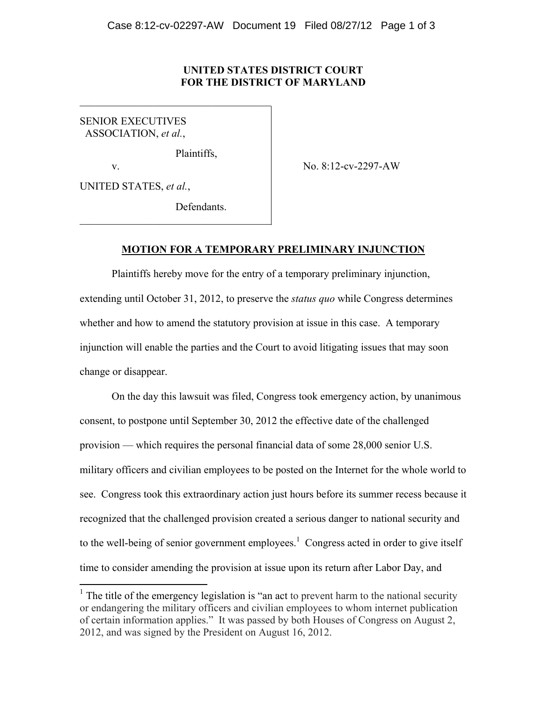#### **UNITED STATES DISTRICT COURT FOR THE DISTRICT OF MARYLAND**

SENIOR EXECUTIVES ASSOCIATION, *et al.*,

Plaintiffs,

 $\mathcal{L}_\text{max}$  , and the set of the set of the set of the set of the set of the set of the set of the set of the set of the set of the set of the set of the set of the set of the set of the set of the set of the set of the

 $\mathcal{L}_\text{max}$  , and the set of the set of the set of the set of the set of the set of the set of the set of the set of the set of the set of the set of the set of the set of the set of the set of the set of the set of the

v. No. 8:12-cv-2297-AW

UNITED STATES, *et al.*,

 

**Defendants** 

#### **MOTION FOR A TEMPORARY PRELIMINARY INJUNCTION**

Plaintiffs hereby move for the entry of a temporary preliminary injunction, extending until October 31, 2012, to preserve the *status quo* while Congress determines whether and how to amend the statutory provision at issue in this case. A temporary injunction will enable the parties and the Court to avoid litigating issues that may soon change or disappear.

On the day this lawsuit was filed, Congress took emergency action, by unanimous consent, to postpone until September 30, 2012 the effective date of the challenged provision — which requires the personal financial data of some 28,000 senior U.S. military officers and civilian employees to be posted on the Internet for the whole world to see. Congress took this extraordinary action just hours before its summer recess because it recognized that the challenged provision created a serious danger to national security and to the well-being of senior government employees.<sup>1</sup> Congress acted in order to give itself time to consider amending the provision at issue upon its return after Labor Day, and

 $<sup>1</sup>$  The title of the emergency legislation is "an act to prevent harm to the national security</sup> or endangering the military officers and civilian employees to whom internet publication of certain information applies." It was passed by both Houses of Congress on August 2, 2012, and was signed by the President on August 16, 2012.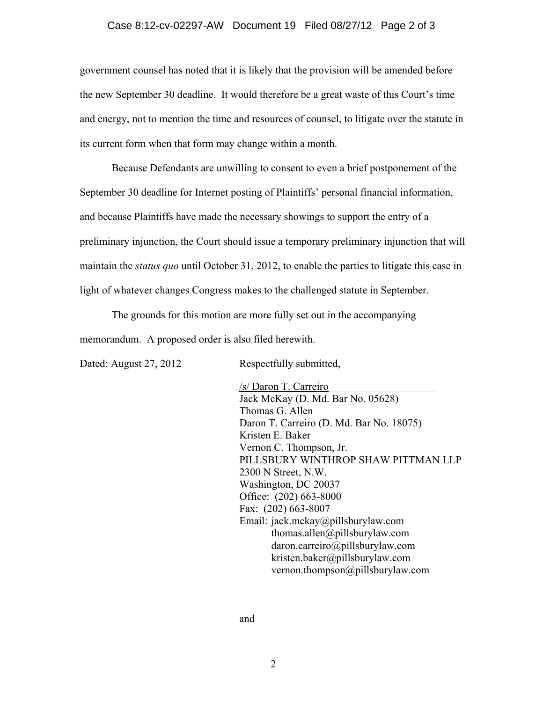#### Case 8:12-cv-02297-AW Document 19 Filed 08/27/12 Page 2 of 3

government counsel has noted that it is likely that the provision will be amended before the new September 30 deadline. It would therefore be a great waste of this Court's time and energy, not to mention the time and resources of counsel, to litigate over the statute in its current form when that form may change within a month.

Because Defendants are unwilling to consent to even a brief postponement of the September 30 deadline for Internet posting of Plaintiffs' personal financial information, and because Plaintiffs have made the necessary showings to support the entry of a preliminary injunction, the Court should issue a temporary preliminary injunction that will maintain the *status quo* until October 31, 2012, to enable the parties to litigate this case in light of whatever changes Congress makes to the challenged statute in September.

The grounds for this motion are more fully set out in the accompanying memorandum. A proposed order is also filed herewith.

Dated: August 27, 2012 Respectfully submitted,

/s/ Daron T. Carreiro\_\_\_\_\_\_\_\_\_\_\_\_\_\_\_\_\_\_\_\_ Jack McKay (D. Md. Bar No. 05628) Thomas G. Allen Daron T. Carreiro (D. Md. Bar No. 18075) Kristen E. Baker Vernon C. Thompson, Jr. PILLSBURY WINTHROP SHAW PITTMAN LLP 2300 N Street, N.W. Washington, DC 20037 Office: (202) 663-8000 Fax: (202) 663-8007 Email: jack.mckay@pillsburylaw.com thomas.allen@pillsburylaw.com daron.carreiro@pillsburylaw.com kristen.baker@pillsburylaw.com vernon.thompson@pillsburylaw.com

and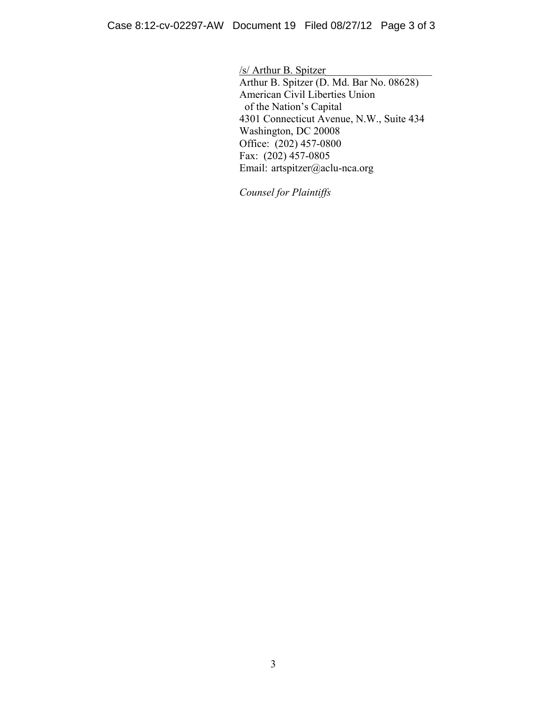/s/ Arthur B. Spitzer\_\_\_\_\_\_\_\_\_\_\_\_\_\_\_\_\_\_\_\_ Arthur B. Spitzer (D. Md. Bar No. 08628) American Civil Liberties Union of the Nation's Capital 4301 Connecticut Avenue, N.W., Suite 434 Washington, DC 20008 Office: (202) 457-0800 Fax: (202) 457-0805 Email: artspitzer@aclu-nca.org

*Counsel for Plaintiffs*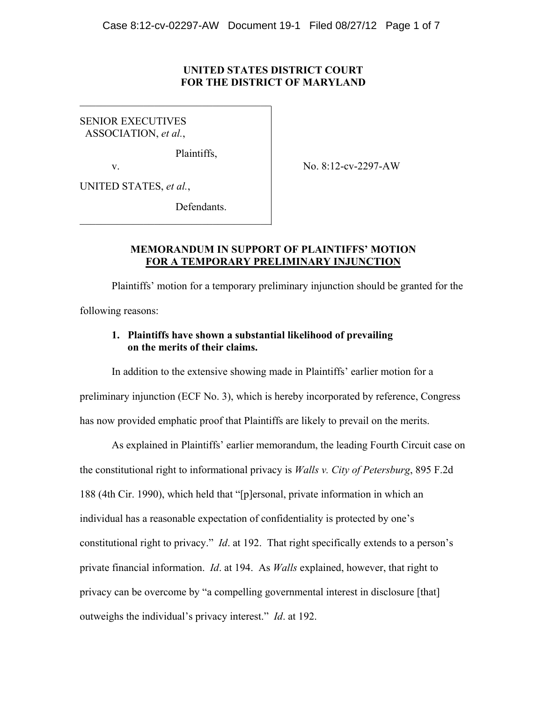#### **UNITED STATES DISTRICT COURT FOR THE DISTRICT OF MARYLAND**

SENIOR EXECUTIVES ASSOCIATION, *et al.*,

Plaintiffs,

 $\mathcal{L}_\text{max}$  , and the set of the set of the set of the set of the set of the set of the set of the set of the set of the set of the set of the set of the set of the set of the set of the set of the set of the set of the

 $\mathcal{L}_\text{max}$  , and the set of the set of the set of the set of the set of the set of the set of the set of the set of the set of the set of the set of the set of the set of the set of the set of the set of the set of the

v. No. 8:12-cv-2297-AW

UNITED STATES, *et al.*,

**Defendants** 

#### **MEMORANDUM IN SUPPORT OF PLAINTIFFS' MOTION FOR A TEMPORARY PRELIMINARY INJUNCTION**

 Plaintiffs' motion for a temporary preliminary injunction should be granted for the following reasons:

#### **1. Plaintiffs have shown a substantial likelihood of prevailing on the merits of their claims.**

 In addition to the extensive showing made in Plaintiffs' earlier motion for a preliminary injunction (ECF No. 3), which is hereby incorporated by reference, Congress has now provided emphatic proof that Plaintiffs are likely to prevail on the merits.

 As explained in Plaintiffs' earlier memorandum, the leading Fourth Circuit case on the constitutional right to informational privacy is *Walls v. City of Petersburg*, 895 F.2d 188 (4th Cir. 1990), which held that "[p]ersonal, private information in which an individual has a reasonable expectation of confidentiality is protected by one's constitutional right to privacy." *Id*. at 192. That right specifically extends to a person's private financial information. *Id*. at 194. As *Walls* explained, however, that right to privacy can be overcome by "a compelling governmental interest in disclosure [that] outweighs the individual's privacy interest." *Id*. at 192.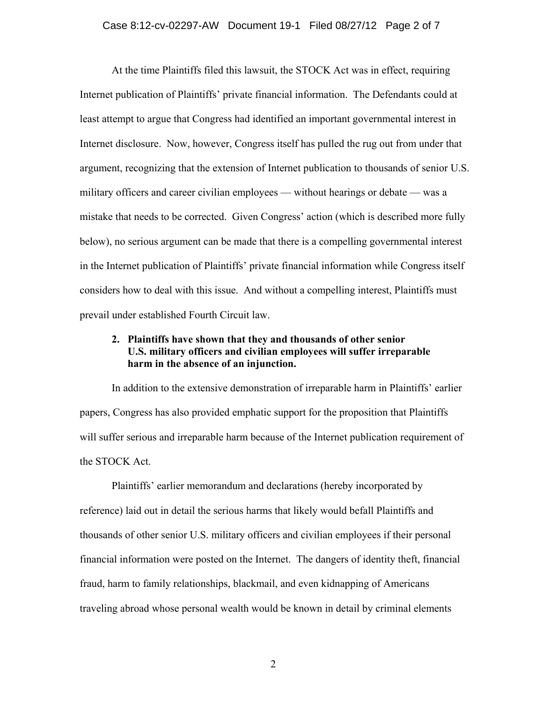At the time Plaintiffs filed this lawsuit, the STOCK Act was in effect, requiring Internet publication of Plaintiffs' private financial information. The Defendants could at least attempt to argue that Congress had identified an important governmental interest in Internet disclosure. Now, however, Congress itself has pulled the rug out from under that argument, recognizing that the extension of Internet publication to thousands of senior U.S. military officers and career civilian employees — without hearings or debate — was a mistake that needs to be corrected. Given Congress' action (which is described more fully below), no serious argument can be made that there is a compelling governmental interest in the Internet publication of Plaintiffs' private financial information while Congress itself considers how to deal with this issue. And without a compelling interest, Plaintiffs must prevail under established Fourth Circuit law.

# **2. Plaintiffs have shown that they and thousands of other senior U.S. military officers and civilian employees will suffer irreparable harm in the absence of an injunction.**

 In addition to the extensive demonstration of irreparable harm in Plaintiffs' earlier papers, Congress has also provided emphatic support for the proposition that Plaintiffs will suffer serious and irreparable harm because of the Internet publication requirement of the STOCK Act.

 Plaintiffs' earlier memorandum and declarations (hereby incorporated by reference) laid out in detail the serious harms that likely would befall Plaintiffs and thousands of other senior U.S. military officers and civilian employees if their personal financial information were posted on the Internet. The dangers of identity theft, financial fraud, harm to family relationships, blackmail, and even kidnapping of Americans traveling abroad whose personal wealth would be known in detail by criminal elements

2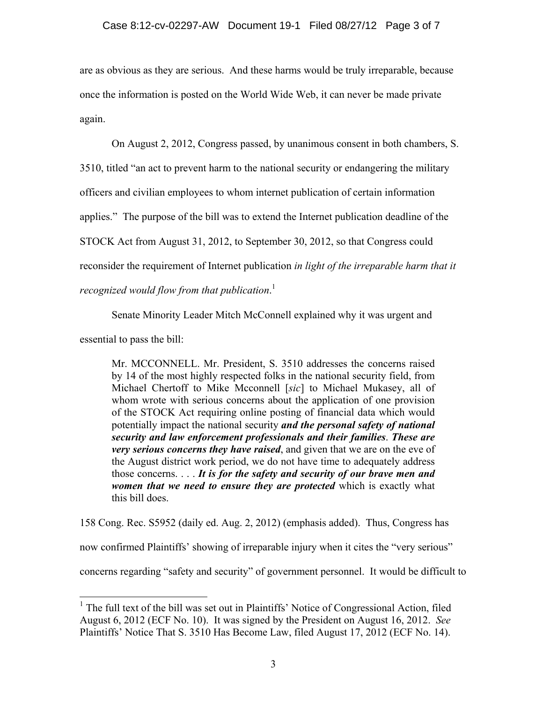are as obvious as they are serious. And these harms would be truly irreparable, because once the information is posted on the World Wide Web, it can never be made private again.

On August 2, 2012, Congress passed, by unanimous consent in both chambers, S.

3510, titled "an act to prevent harm to the national security or endangering the military

officers and civilian employees to whom internet publication of certain information

applies." The purpose of the bill was to extend the Internet publication deadline of the

STOCK Act from August 31, 2012, to September 30, 2012, so that Congress could

reconsider the requirement of Internet publication *in light of the irreparable harm that it* 

*recognized would flow from that publication*. 1

Senate Minority Leader Mitch McConnell explained why it was urgent and

essential to pass the bill:

 

Mr. MCCONNELL. Mr. President, S. 3510 addresses the concerns raised by 14 of the most highly respected folks in the national security field, from Michael Chertoff to Mike Mcconnell [*sic*] to Michael Mukasey, all of whom wrote with serious concerns about the application of one provision of the STOCK Act requiring online posting of financial data which would potentially impact the national security *and the personal safety of national security and law enforcement professionals and their families*. *These are very serious concerns they have raised*, and given that we are on the eve of the August district work period, we do not have time to adequately address those concerns. . . . *It is for the safety and security of our brave men and women that we need to ensure they are protected* which is exactly what this bill does.

158 Cong. Rec. S5952 (daily ed. Aug. 2, 2012) (emphasis added). Thus, Congress has now confirmed Plaintiffs' showing of irreparable injury when it cites the "very serious" concerns regarding "safety and security" of government personnel. It would be difficult to

<sup>&</sup>lt;sup>1</sup> The full text of the bill was set out in Plaintiffs' Notice of Congressional Action, filed August 6, 2012 (ECF No. 10). It was signed by the President on August 16, 2012. *See* Plaintiffs' Notice That S. 3510 Has Become Law, filed August 17, 2012 (ECF No. 14).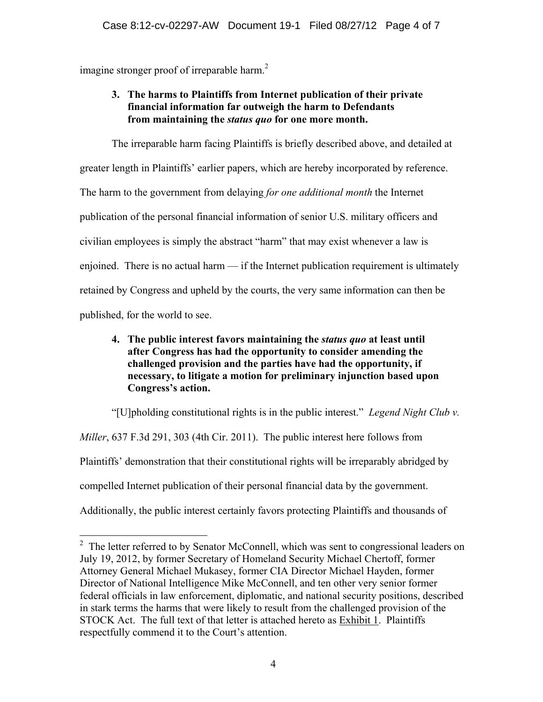imagine stronger proof of irreparable harm.<sup>2</sup>

# **3. The harms to Plaintiffs from Internet publication of their private financial information far outweigh the harm to Defendants from maintaining the** *status quo* **for one more month.**

 The irreparable harm facing Plaintiffs is briefly described above, and detailed at greater length in Plaintiffs' earlier papers, which are hereby incorporated by reference. The harm to the government from delaying *for one additional month* the Internet publication of the personal financial information of senior U.S. military officers and civilian employees is simply the abstract "harm" that may exist whenever a law is enjoined. There is no actual harm — if the Internet publication requirement is ultimately retained by Congress and upheld by the courts, the very same information can then be published, for the world to see.

# **4. The public interest favors maintaining the** *status quo* **at least until after Congress has had the opportunity to consider amending the challenged provision and the parties have had the opportunity, if necessary, to litigate a motion for preliminary injunction based upon Congress's action.**

 "[U]pholding constitutional rights is in the public interest." *Legend Night Club v. Miller*, 637 F.3d 291, 303 (4th Cir. 2011). The public interest here follows from Plaintiffs' demonstration that their constitutional rights will be irreparably abridged by compelled Internet publication of their personal financial data by the government. Additionally, the public interest certainly favors protecting Plaintiffs and thousands of

<sup>&</sup>lt;sup>2</sup> The letter referred to by Senator McConnell, which was sent to congressional leaders on July 19, 2012, by former Secretary of Homeland Security Michael Chertoff, former Attorney General Michael Mukasey, former CIA Director Michael Hayden, former Director of National Intelligence Mike McConnell, and ten other very senior former federal officials in law enforcement, diplomatic, and national security positions, described in stark terms the harms that were likely to result from the challenged provision of the STOCK Act. The full text of that letter is attached hereto as Exhibit 1. Plaintiffs respectfully commend it to the Court's attention.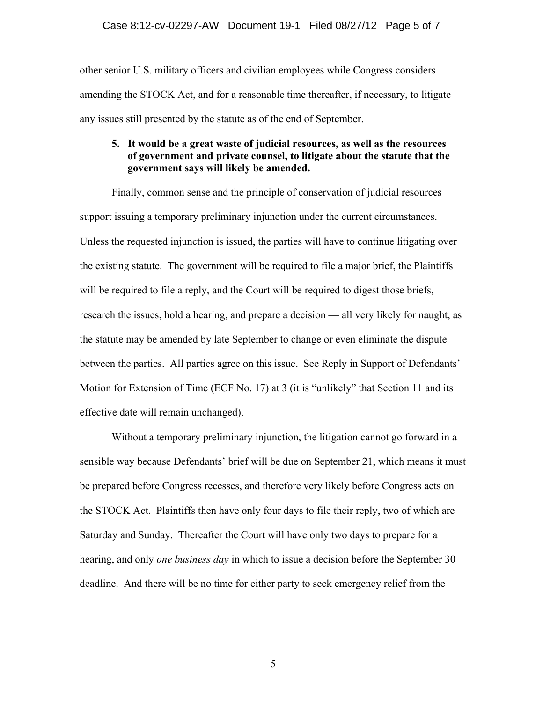other senior U.S. military officers and civilian employees while Congress considers amending the STOCK Act, and for a reasonable time thereafter, if necessary, to litigate any issues still presented by the statute as of the end of September.

#### **5. It would be a great waste of judicial resources, as well as the resources of government and private counsel, to litigate about the statute that the government says will likely be amended.**

Finally, common sense and the principle of conservation of judicial resources support issuing a temporary preliminary injunction under the current circumstances. Unless the requested injunction is issued, the parties will have to continue litigating over the existing statute. The government will be required to file a major brief, the Plaintiffs will be required to file a reply, and the Court will be required to digest those briefs, research the issues, hold a hearing, and prepare a decision — all very likely for naught, as the statute may be amended by late September to change or even eliminate the dispute between the parties. All parties agree on this issue. See Reply in Support of Defendants' Motion for Extension of Time (ECF No. 17) at 3 (it is "unlikely" that Section 11 and its effective date will remain unchanged).

Without a temporary preliminary injunction, the litigation cannot go forward in a sensible way because Defendants' brief will be due on September 21, which means it must be prepared before Congress recesses, and therefore very likely before Congress acts on the STOCK Act. Plaintiffs then have only four days to file their reply, two of which are Saturday and Sunday. Thereafter the Court will have only two days to prepare for a hearing, and only *one business day* in which to issue a decision before the September 30 deadline. And there will be no time for either party to seek emergency relief from the

5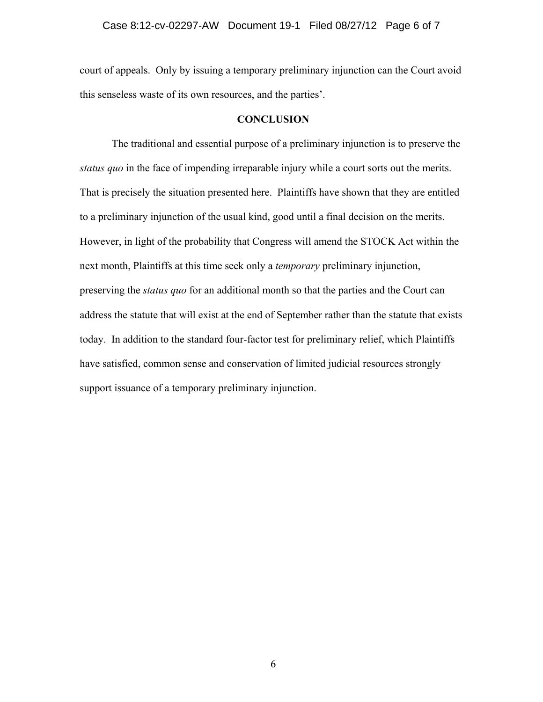court of appeals. Only by issuing a temporary preliminary injunction can the Court avoid this senseless waste of its own resources, and the parties'.

#### **CONCLUSION**

 The traditional and essential purpose of a preliminary injunction is to preserve the *status quo* in the face of impending irreparable injury while a court sorts out the merits. That is precisely the situation presented here. Plaintiffs have shown that they are entitled to a preliminary injunction of the usual kind, good until a final decision on the merits. However, in light of the probability that Congress will amend the STOCK Act within the next month, Plaintiffs at this time seek only a *temporary* preliminary injunction, preserving the *status quo* for an additional month so that the parties and the Court can address the statute that will exist at the end of September rather than the statute that exists today. In addition to the standard four-factor test for preliminary relief, which Plaintiffs have satisfied, common sense and conservation of limited judicial resources strongly support issuance of a temporary preliminary injunction.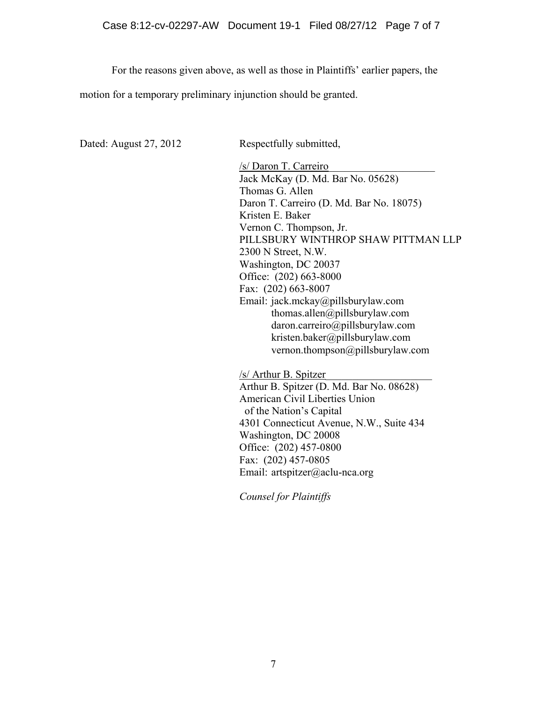For the reasons given above, as well as those in Plaintiffs' earlier papers, the

motion for a temporary preliminary injunction should be granted.

| Dated: August 27, 2012 | Respectfully submitted,                  |
|------------------------|------------------------------------------|
|                        | /s/ Daron T. Carreiro                    |
|                        | Jack McKay (D. Md. Bar No. 05628)        |
|                        | Thomas G. Allen                          |
|                        | Daron T. Carreiro (D. Md. Bar No. 18075) |
|                        | Kristen E. Baker                         |
|                        | Vernon C. Thompson, Jr.                  |
|                        | PILLSBURY WINTHROP SHAW PITTMAN LLP      |
|                        | 2300 N Street, N.W.                      |
|                        | Washington, DC 20037                     |
|                        | Office: (202) 663-8000                   |
|                        | Fax: (202) 663-8007                      |
|                        | Email: jack.mckay@pillsburylaw.com       |
|                        | thomas.allen@pillsburylaw.com            |
|                        | daron.carreiro@pillsburylaw.com          |
|                        | kristen.baker@pillsburylaw.com           |
|                        | vernon.thompson@pillsburylaw.com         |
|                        | /s/ Arthur B. Spitzer                    |
|                        | Arthur B. Spitzer (D. Md. Bar No. 08628) |
|                        | American Civil Liberties Union           |
|                        | of the Nation's Capital                  |
|                        | 4301 Connecticut Avenue, N.W., Suite 434 |
|                        | Washington, DC 20008                     |
|                        | Office: (202) 457-0800                   |

*Counsel for Plaintiffs* 

Email: artspitzer@aclu-nca.org

Fax: (202) 457-0805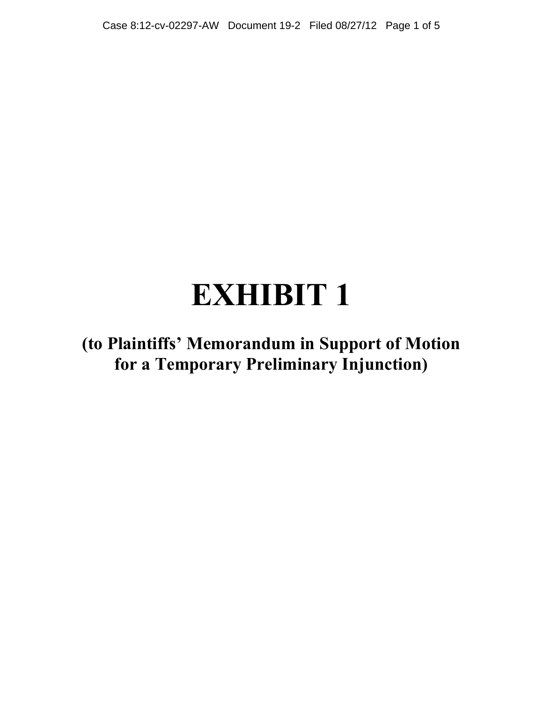# **EXHIBIT 1**

**(to Plaintiffs' Memorandum in Support of Motion for a Temporary Preliminary Injunction)**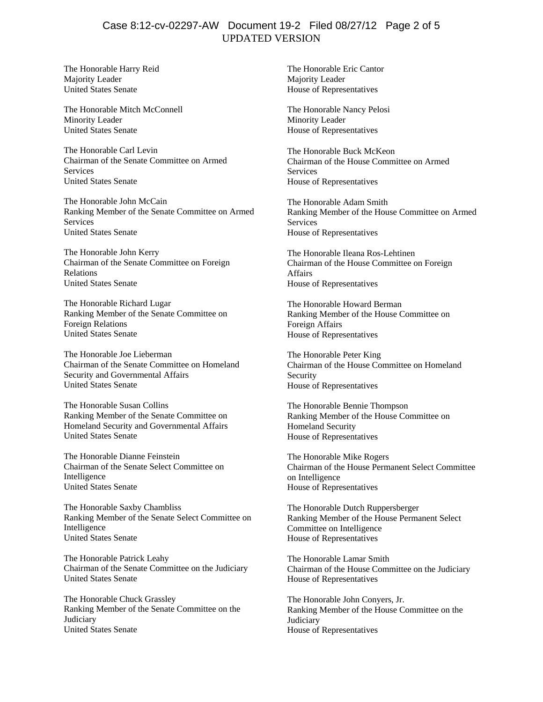# UPDATED VERSION Case 8:12-cv-02297-AW Document 19-2 Filed 08/27/12 Page 2 of 5

The Honorable Harry Reid Majority Leader United States Senate

The Honorable Mitch McConnell Minority Leader United States Senate

The Honorable Carl Levin Chairman of the Senate Committee on Armed Services United States Senate

The Honorable John McCain Ranking Member of the Senate Committee on Armed **Services** United States Senate

The Honorable John Kerry Chairman of the Senate Committee on Foreign Relations United States Senate

The Honorable Richard Lugar Ranking Member of the Senate Committee on Foreign Relations United States Senate

The Honorable Joe Lieberman Chairman of the Senate Committee on Homeland Security and Governmental Affairs United States Senate

The Honorable Susan Collins Ranking Member of the Senate Committee on Homeland Security and Governmental Affairs United States Senate

The Honorable Dianne Feinstein Chairman of the Senate Select Committee on Intelligence United States Senate

The Honorable Saxby Chambliss Ranking Member of the Senate Select Committee on Intelligence United States Senate

The Honorable Patrick Leahy Chairman of the Senate Committee on the Judiciary United States Senate

The Honorable Chuck Grassley Ranking Member of the Senate Committee on the **Judiciary** United States Senate

The Honorable Eric Cantor Majority Leader House of Representatives

The Honorable Nancy Pelosi Minority Leader House of Representatives

The Honorable Buck McKeon Chairman of the House Committee on Armed **Services** House of Representatives

The Honorable Adam Smith Ranking Member of the House Committee on Armed Services House of Representatives

The Honorable Ileana Ros-Lehtinen Chairman of the House Committee on Foreign Affairs House of Representatives

The Honorable Howard Berman Ranking Member of the House Committee on Foreign Affairs House of Representatives

The Honorable Peter King Chairman of the House Committee on Homeland Security House of Representatives

The Honorable Bennie Thompson Ranking Member of the House Committee on Homeland Security House of Representatives

The Honorable Mike Rogers Chairman of the House Permanent Select Committee on Intelligence House of Representatives

The Honorable Dutch Ruppersberger Ranking Member of the House Permanent Select Committee on Intelligence House of Representatives

The Honorable Lamar Smith Chairman of the House Committee on the Judiciary House of Representatives

The Honorable John Conyers, Jr. Ranking Member of the House Committee on the **Judiciary** House of Representatives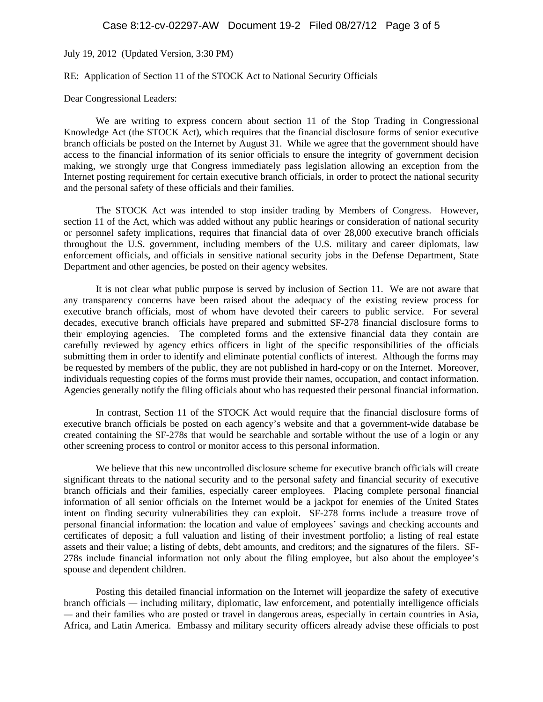July 19, 2012 (Updated Version, 3:30 PM)

#### RE: Application of Section 11 of the STOCK Act to National Security Officials

Dear Congressional Leaders:

We are writing to express concern about section 11 of the Stop Trading in Congressional Knowledge Act (the STOCK Act), which requires that the financial disclosure forms of senior executive branch officials be posted on the Internet by August 31. While we agree that the government should have access to the financial information of its senior officials to ensure the integrity of government decision making, we strongly urge that Congress immediately pass legislation allowing an exception from the Internet posting requirement for certain executive branch officials, in order to protect the national security and the personal safety of these officials and their families.

The STOCK Act was intended to stop insider trading by Members of Congress. However, section 11 of the Act, which was added without any public hearings or consideration of national security or personnel safety implications, requires that financial data of over 28,000 executive branch officials throughout the U.S. government, including members of the U.S. military and career diplomats, law enforcement officials, and officials in sensitive national security jobs in the Defense Department, State Department and other agencies, be posted on their agency websites.

It is not clear what public purpose is served by inclusion of Section 11. We are not aware that any transparency concerns have been raised about the adequacy of the existing review process for executive branch officials, most of whom have devoted their careers to public service. For several decades, executive branch officials have prepared and submitted SF-278 financial disclosure forms to their employing agencies. The completed forms and the extensive financial data they contain are carefully reviewed by agency ethics officers in light of the specific responsibilities of the officials submitting them in order to identify and eliminate potential conflicts of interest. Although the forms may be requested by members of the public, they are not published in hard-copy or on the Internet. Moreover, individuals requesting copies of the forms must provide their names, occupation, and contact information. Agencies generally notify the filing officials about who has requested their personal financial information.

In contrast, Section 11 of the STOCK Act would require that the financial disclosure forms of executive branch officials be posted on each agency's website and that a government-wide database be created containing the SF-278s that would be searchable and sortable without the use of a login or any other screening process to control or monitor access to this personal information.

We believe that this new uncontrolled disclosure scheme for executive branch officials will create significant threats to the national security and to the personal safety and financial security of executive branch officials and their families, especially career employees. Placing complete personal financial information of all senior officials on the Internet would be a jackpot for enemies of the United States intent on finding security vulnerabilities they can exploit. SF-278 forms include a treasure trove of personal financial information: the location and value of employees' savings and checking accounts and certificates of deposit; a full valuation and listing of their investment portfolio; a listing of real estate assets and their value; a listing of debts, debt amounts, and creditors; and the signatures of the filers. SF-278s include financial information not only about the filing employee, but also about the employee's spouse and dependent children.

 Posting this detailed financial information on the Internet will jeopardize the safety of executive branch officials *—* including military, diplomatic, law enforcement, and potentially intelligence officials *—* and their families who are posted or travel in dangerous areas, especially in certain countries in Asia, Africa, and Latin America. Embassy and military security officers already advise these officials to post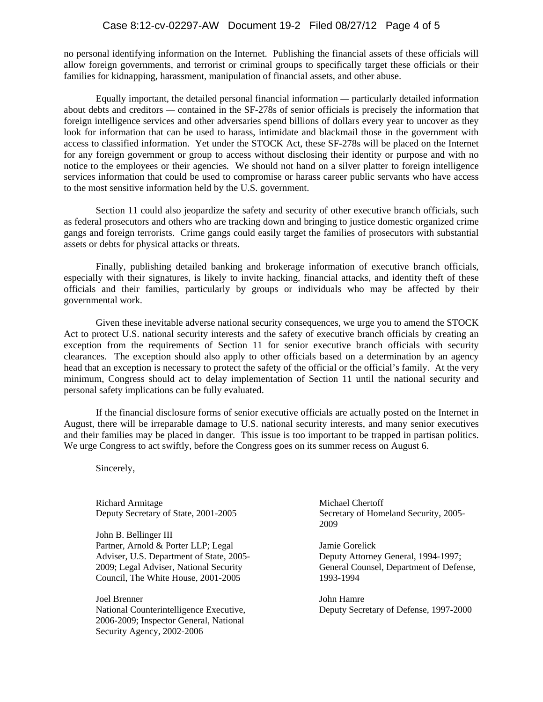#### Case 8:12-cv-02297-AW Document 19-2 Filed 08/27/12 Page 4 of 5

no personal identifying information on the Internet. Publishing the financial assets of these officials will allow foreign governments, and terrorist or criminal groups to specifically target these officials or their families for kidnapping, harassment, manipulation of financial assets, and other abuse.

Equally important, the detailed personal financial information *—* particularly detailed information about debts and creditors *—* contained in the SF-278s of senior officials is precisely the information that foreign intelligence services and other adversaries spend billions of dollars every year to uncover as they look for information that can be used to harass, intimidate and blackmail those in the government with access to classified information. Yet under the STOCK Act, these SF-278s will be placed on the Internet for any foreign government or group to access without disclosing their identity or purpose and with no notice to the employees or their agencies*.* We should not hand on a silver platter to foreign intelligence services information that could be used to compromise or harass career public servants who have access to the most sensitive information held by the U.S. government.

Section 11 could also jeopardize the safety and security of other executive branch officials, such as federal prosecutors and others who are tracking down and bringing to justice domestic organized crime gangs and foreign terrorists. Crime gangs could easily target the families of prosecutors with substantial assets or debts for physical attacks or threats.

Finally, publishing detailed banking and brokerage information of executive branch officials, especially with their signatures, is likely to invite hacking, financial attacks, and identity theft of these officials and their families, particularly by groups or individuals who may be affected by their governmental work.

Given these inevitable adverse national security consequences, we urge you to amend the STOCK Act to protect U.S. national security interests and the safety of executive branch officials by creating an exception from the requirements of Section 11 for senior executive branch officials with security clearances. The exception should also apply to other officials based on a determination by an agency head that an exception is necessary to protect the safety of the official or the official's family. At the very minimum, Congress should act to delay implementation of Section 11 until the national security and personal safety implications can be fully evaluated.

If the financial disclosure forms of senior executive officials are actually posted on the Internet in August, there will be irreparable damage to U.S. national security interests, and many senior executives and their families may be placed in danger. This issue is too important to be trapped in partisan politics. We urge Congress to act swiftly, before the Congress goes on its summer recess on August 6.

Sincerely,

Richard Armitage Deputy Secretary of State, 2001-2005

John B. Bellinger III Partner, Arnold & Porter LLP; Legal Adviser, U.S. Department of State, 2005- 2009; Legal Adviser, National Security Council, The White House, 2001-2005

Joel Brenner National Counterintelligence Executive, 2006-2009; Inspector General, National Security Agency, 2002-2006

Michael Chertoff Secretary of Homeland Security, 2005- 2009

Jamie Gorelick Deputy Attorney General, 1994-1997; General Counsel, Department of Defense, 1993-1994

John Hamre Deputy Secretary of Defense, 1997-2000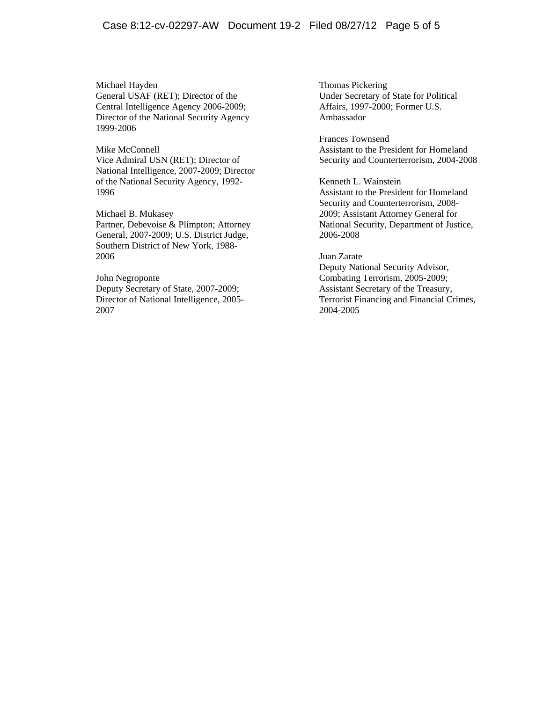Michael Hayden General USAF (RET); Director of the Central Intelligence Agency 2006-2009; Director of the National Security Agency 1999-2006

#### Mike McConnell

Vice Admiral USN (RET); Director of National Intelligence, 2007-2009; Director of the National Security Agency, 1992- 1996

Michael B. Mukasey Partner, Debevoise & Plimpton; Attorney General, 2007-2009; U.S. District Judge, Southern District of New York, 1988- 2006

John Negroponte Deputy Secretary of State, 2007-2009; Director of National Intelligence, 2005- 2007

Thomas Pickering Under Secretary of State for Political Affairs, 1997-2000; Former U.S. Ambassador

Frances Townsend Assistant to the President for Homeland Security and Counterterrorism, 2004-2008

Kenneth L. Wainstein Assistant to the President for Homeland Security and Counterterrorism, 2008- 2009; Assistant Attorney General for National Security, Department of Justice, 2006-2008

#### Juan Zarate

Deputy National Security Advisor, Combating Terrorism, 2005-2009; Assistant Secretary of the Treasury, Terrorist Financing and Financial Crimes, 2004-2005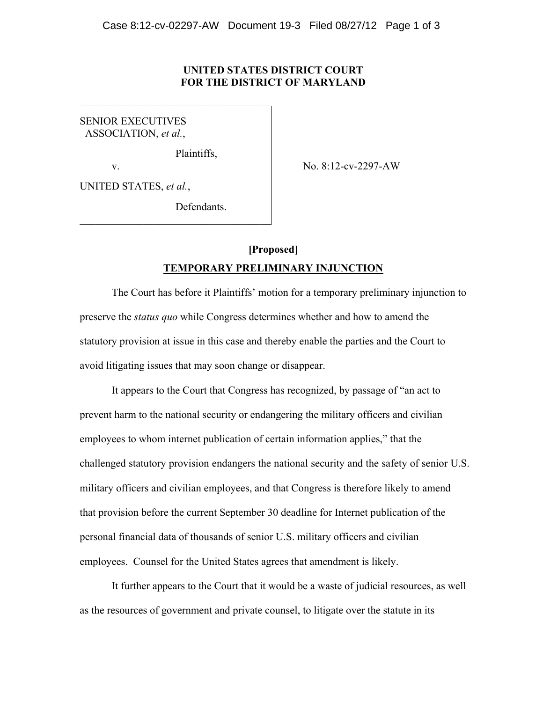#### **UNITED STATES DISTRICT COURT FOR THE DISTRICT OF MARYLAND**

SENIOR EXECUTIVES ASSOCIATION, *et al.*,

Plaintiffs,

 $\mathcal{L}_\text{max}$  , and the set of the set of the set of the set of the set of the set of the set of the set of the set of the set of the set of the set of the set of the set of the set of the set of the set of the set of the

 $\mathcal{L}_\text{max}$  , and the set of the set of the set of the set of the set of the set of the set of the set of the set of the set of the set of the set of the set of the set of the set of the set of the set of the set of the

v. No. 8:12-cv-2297-AW

UNITED STATES, *et al.*,

**Defendants** 

# **[Proposed] TEMPORARY PRELIMINARY INJUNCTION**

 The Court has before it Plaintiffs' motion for a temporary preliminary injunction to preserve the *status quo* while Congress determines whether and how to amend the statutory provision at issue in this case and thereby enable the parties and the Court to avoid litigating issues that may soon change or disappear.

 It appears to the Court that Congress has recognized, by passage of "an act to prevent harm to the national security or endangering the military officers and civilian employees to whom internet publication of certain information applies," that the challenged statutory provision endangers the national security and the safety of senior U.S. military officers and civilian employees, and that Congress is therefore likely to amend that provision before the current September 30 deadline for Internet publication of the personal financial data of thousands of senior U.S. military officers and civilian employees. Counsel for the United States agrees that amendment is likely.

It further appears to the Court that it would be a waste of judicial resources, as well as the resources of government and private counsel, to litigate over the statute in its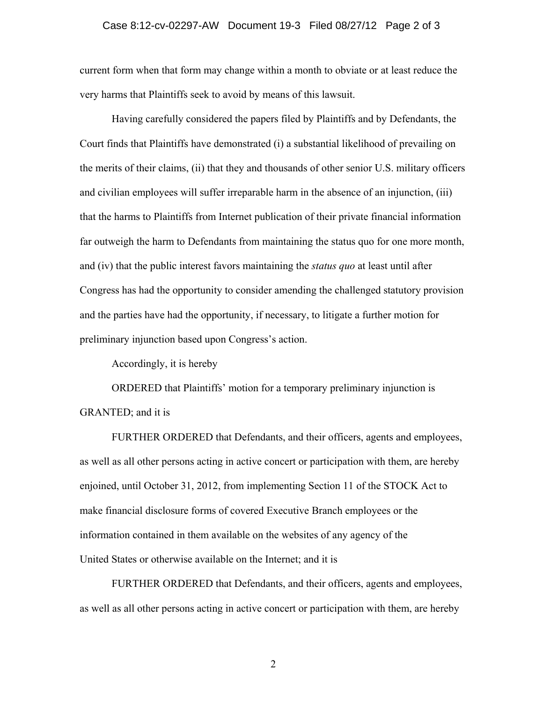#### Case 8:12-cv-02297-AW Document 19-3 Filed 08/27/12 Page 2 of 3

current form when that form may change within a month to obviate or at least reduce the very harms that Plaintiffs seek to avoid by means of this lawsuit.

Having carefully considered the papers filed by Plaintiffs and by Defendants, the Court finds that Plaintiffs have demonstrated (i) a substantial likelihood of prevailing on the merits of their claims, (ii) that they and thousands of other senior U.S. military officers and civilian employees will suffer irreparable harm in the absence of an injunction, (iii) that the harms to Plaintiffs from Internet publication of their private financial information far outweigh the harm to Defendants from maintaining the status quo for one more month, and (iv) that the public interest favors maintaining the *status quo* at least until after Congress has had the opportunity to consider amending the challenged statutory provision and the parties have had the opportunity, if necessary, to litigate a further motion for preliminary injunction based upon Congress's action.

Accordingly, it is hereby

ORDERED that Plaintiffs' motion for a temporary preliminary injunction is GRANTED; and it is

 FURTHER ORDERED that Defendants, and their officers, agents and employees, as well as all other persons acting in active concert or participation with them, are hereby enjoined, until October 31, 2012, from implementing Section 11 of the STOCK Act to make financial disclosure forms of covered Executive Branch employees or the information contained in them available on the websites of any agency of the United States or otherwise available on the Internet; and it is

 FURTHER ORDERED that Defendants, and their officers, agents and employees, as well as all other persons acting in active concert or participation with them, are hereby

2